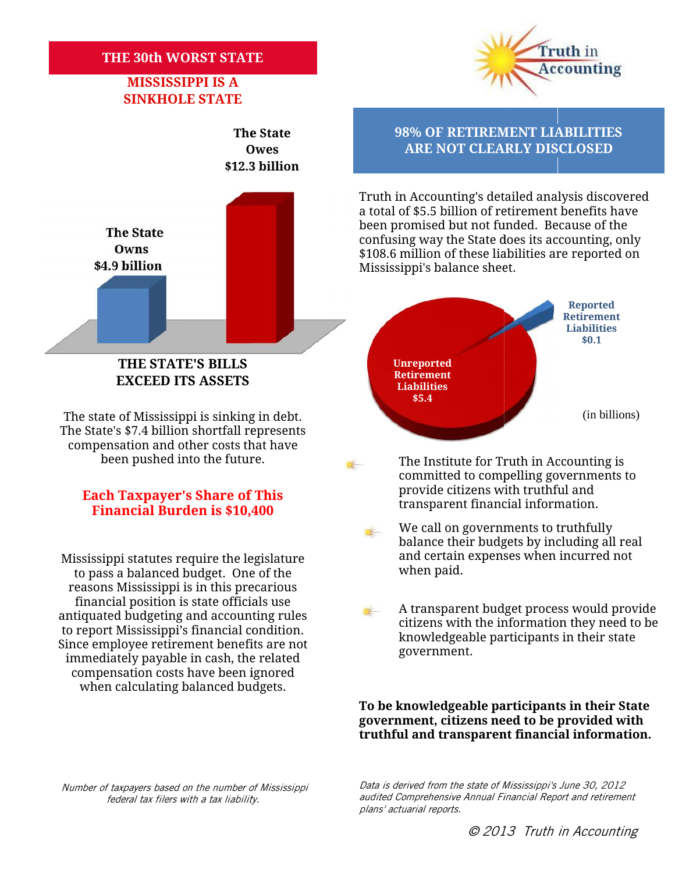#### **THE 30th WORST STATE**

### **MISSISSIPPI IS A SINKHOLE STATE**



## **Financial Burden is \$10,400 Taxpayer's Financial \$10,400**

Mississippi statutes require the legislature and certain<br>to pass a balanced budget . One of the state when paid. to pass a balanced budget. One of the reasons Mississippi is in this precarious financial position is state officials use antiquated budgeting and accounting rules to report Mississippi's financial condition. Since employee retirement benefits are not immediately payable in cash, the related compensation costs have been ignored when calculating balanced budgets. measons Mississippi is in this precarious<br>financial position is state officials use<br>antiquated budgeting and accounting rules<br>to report Mississippi's financial condition.<br>Since employee retirement benefits are not<br>immediat



#### **The State 98% OF RETIREMENT LIABILITIES Owes ARE NOT CLEARLY DISCLOSED**

Truth in Accounting's detailed analysis discovered a total of \$5.5 billion of retirement benefits have been promised but not funded. Because of the confusing way the State does its accounting, only \$108.6 million of these liabilities are reported on Mississippi's balance sheet.



- The Institute for Truth in Accounting is committed to compelling governments to provide citizens with truthful and **Each Taxpayer's Share of This Each Taxpayer's Share of This** *Einensial Information.* **Express Express Express Express Express Express Express Express Express Express Express Express Express Ex** 
	- We call on governments to truthfully balance their budgets by including all real and certain expenses when incurred not
	- A transparent budget process would provide citizens with the information they need to be knowledgeable participants in their state government.

**To be knowledgeable participants in their State government, citizens need to be provided with** government, citizens need to be provided with<br>truthful and transparent financial information.

*Number of taxpayers based on the number of Mississippi*<br>federal tax filers with a tax liabilitv. *federal tax filers with a tax liability.*

*Data is derived from the state of Mississippi's June 30, 2012* Data is derived from the state of Mississippi's June 30, 2012<br>audited Comprehensive Annual Financial Report and retirement *plans' actuarial reports.*